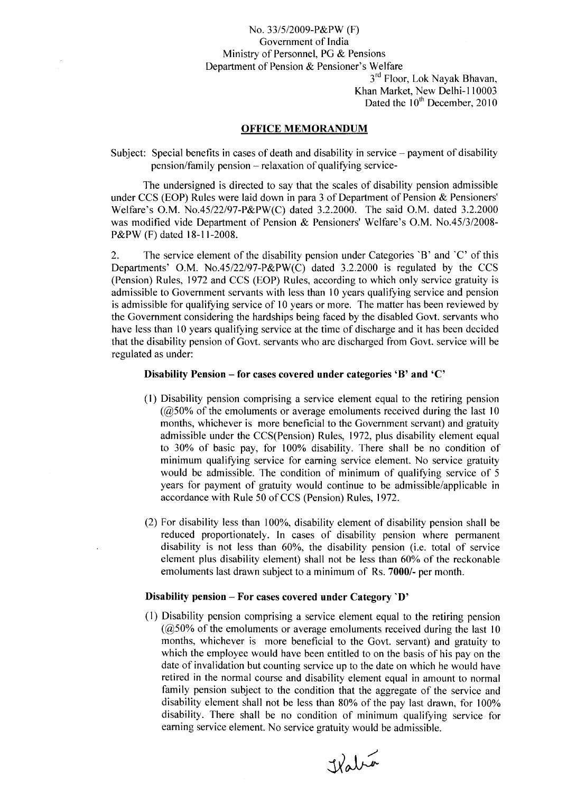# No. 33/5/2009-P&PW (F) Government of India Ministry of Personnel, PG & Pensions Department of Pension & Pensioner's Welfare

3<sup>rd</sup> Floor, Lok Nayak Bhavan Khan Market, New Delhi-110003 Dated the  $10^{th}$  December, 2010

# OFFICE MEMORANDUM

Subject: Special benefits in cases of death and disability in service – payment of disability pension/family pension - relaxation of qualifying service-

The undersigned is directed to say that the scales of disability pension admissible under CCS (EOP) Rules were laid down in para 3 of Department of Pension & Pensioners' Welfare's O.M. No.45/22/97-P&PW(C) dated 3.2.2000. The said O.M. dated 3.2.2000 was modified vide Department of Pension & Pensioners' Welfare's O.M. No.45/3/2008- P&PW (F) dated 18-11-2008.

2. The service element of the disability pension under Categories 'B' and 'C' of this Departments' O.M. No.45/22/97-P&PW(C) dated 3.2.2000 is regulated by the CCS (Pension) Rules, 1972 and CCS (EOP) Rules, according to which only service gratuity is admissible to Government servants with less than 10 years qualifying service and pension is admissible for qualifying service of 10 years or more. The matter has been reviewed by the Government considering the hardships being faced by the disabled Govt. servants who have less than 10 years qualifying service at the time of discharge and it has been decided that the disability pension of Govt. servants who are discharged from Govt. service will be regulated as under:

# Disability Pension – for cases covered under categories 'B' and 'C'

- (1) Disability pension comprising a service element equal to the retiring pension  $(Q50\% \text{ of the emoluments or average emoluments received during the last 10})$ months, whichever is more beneficial to the Government servant) and gratuity admissible under the CCS(Pension) Rules, 1972, plus disability element equal to 30% of basic pay, for 100% disability. There shall be no condition of minimum qualifying service for earning service element. No service gratuity would be admissible. The condition of minimum of qualifying service of 5 years for payment of gratuity would continue to be admissible/applicable in accordance with Rule 50 of CCS (Pension) Rules, 1972.
- (2) For disability less than 100%, disability element of disability pension shall be reduced proportionately. In cases of disability pension where permanent disability is not less than 60%, the disability pension (i.e. total of service element plus disability element) shall not be less than 60% of the reckonable emoluments last drawn subject to a minimum of Rs. 7000/- per month.

#### Disability pension - For cases covered under Category 'D'

(I) Disability pension comprising a service element equal to the retiring pension  $(Q50\%$  of the emoluments or average emoluments received during the last 10 months, whichever is more beneficial to the Govt. servant) and gratuity to which the employee would have been entitled to on the basis of his pay on the date of invalidation but counting service up to the date on which he would have retired in the normal course and disability element equal in amount to normal family pension subject to the condition that the aggregate of the service and disability element shall not be less than 80% of the pay last drawn, for 100% disability. There shall be no condition of minimum qualifying service for earning service element. No service gratuity would be admissible.

Kabia